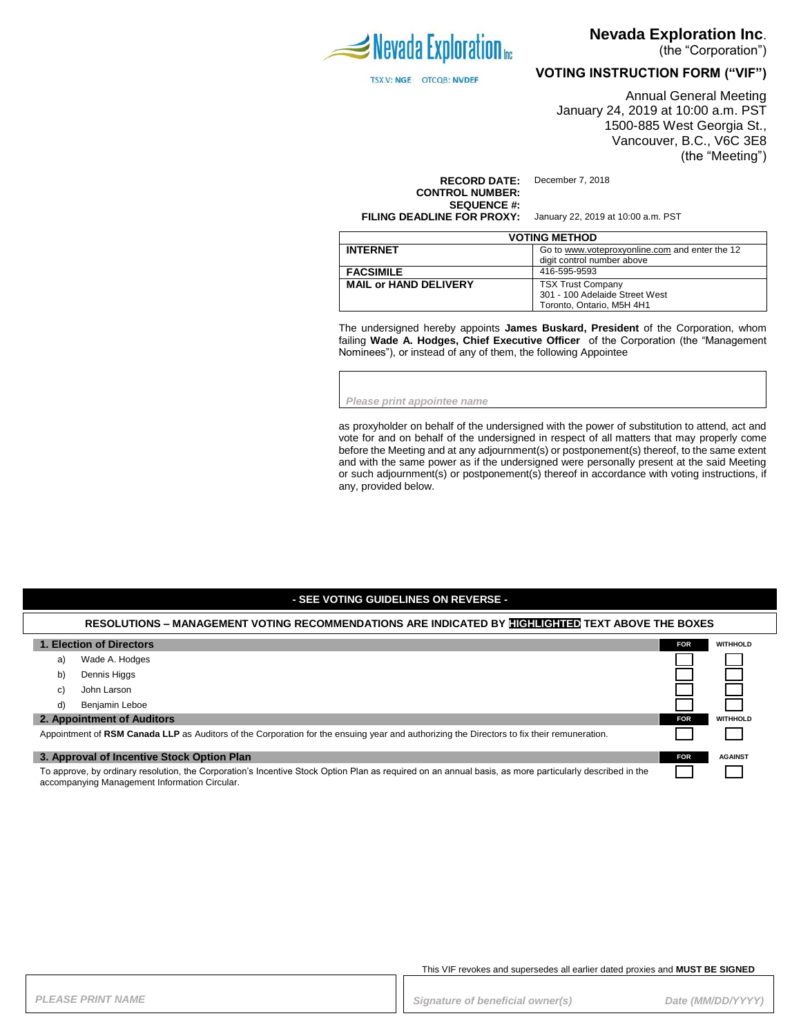

TSX.V: NGE OTCQB: NVDEF

# **Nevada Exploration Inc**.

(the "Corporation")

**VOTING INSTRUCTION FORM ("VIF")**

Annual General Meeting January 24, 2019 at 10:00 a.m. PST 1500-885 West Georgia St., Vancouver, B.C., V6C 3E8 (the "Meeting")

**RECORD DATE:** December 7, 2018 **CONTROL NUMBER: SEQUENCE #:**

**FILING DEADLINE FOR PROXY:** January 22, 2019 at 10:00 a.m. PST

| <b>VOTING METHOD</b>         |                                                |  |  |
|------------------------------|------------------------------------------------|--|--|
| <b>INTERNET</b>              | Go to www.voteproxyonline.com and enter the 12 |  |  |
|                              | digit control number above                     |  |  |
| <b>FACSIMILE</b>             | 416-595-9593                                   |  |  |
| <b>MAIL or HAND DELIVERY</b> | <b>TSX Trust Company</b>                       |  |  |
|                              | 301 - 100 Adelaide Street West                 |  |  |
|                              | Toronto, Ontario, M5H 4H1                      |  |  |

The undersigned hereby appoints **James Buskard, President** of the Corporation, whom failing **Wade A. Hodges, Chief Executive Officer** of the Corporation (the "Management Nominees"), or instead of any of them, the following Appointee

*Please print appointee name*

as proxyholder on behalf of the undersigned with the power of substitution to attend, act and vote for and on behalf of the undersigned in respect of all matters that may properly come before the Meeting and at any adjournment(s) or postponement(s) thereof, to the same extent and with the same power as if the undersigned were personally present at the said Meeting or such adjournment(s) or postponement(s) thereof in accordance with voting instructions, if any, provided below.

#### **- SEE VOTING GUIDELINES ON REVERSE -**

#### **RESOLUTIONS – MANAGEMENT VOTING RECOMMENDATIONS ARE INDICATED BY HIGHLIGHTED TEXT ABOVE THE BOXES**

|                                                                                                                                                                                                          | 1. Election of Directors                                                                                                                   | <b>FOR</b> | <b>WITHHOLD</b> |
|----------------------------------------------------------------------------------------------------------------------------------------------------------------------------------------------------------|--------------------------------------------------------------------------------------------------------------------------------------------|------------|-----------------|
| a)                                                                                                                                                                                                       | Wade A. Hodges                                                                                                                             |            |                 |
| b)                                                                                                                                                                                                       | Dennis Higgs                                                                                                                               |            |                 |
| C)                                                                                                                                                                                                       | John Larson                                                                                                                                |            |                 |
| d)                                                                                                                                                                                                       | Benjamin Leboe                                                                                                                             |            |                 |
|                                                                                                                                                                                                          | 2. Appointment of Auditors                                                                                                                 | <b>FOR</b> | <b>WITHHOLD</b> |
|                                                                                                                                                                                                          | Appointment of RSM Canada LLP as Auditors of the Corporation for the ensuing year and authorizing the Directors to fix their remuneration. |            |                 |
|                                                                                                                                                                                                          | 3. Approval of Incentive Stock Option Plan                                                                                                 | <b>FOR</b> | <b>AGAINST</b>  |
| To approve, by ordinary resolution, the Corporation's Incentive Stock Option Plan as required on an annual basis, as more particularly described in the<br>accompanying Management Information Circular. |                                                                                                                                            |            |                 |

This VIF revokes and supersedes all earlier dated proxies and **MUST BE SIGNED**

PLEASE PRINT NAME *PLEASE PRINT NAME PLEASE PRINT NAME Signature of beneficial owner(s)**Date (MM/DD/YYYY)*